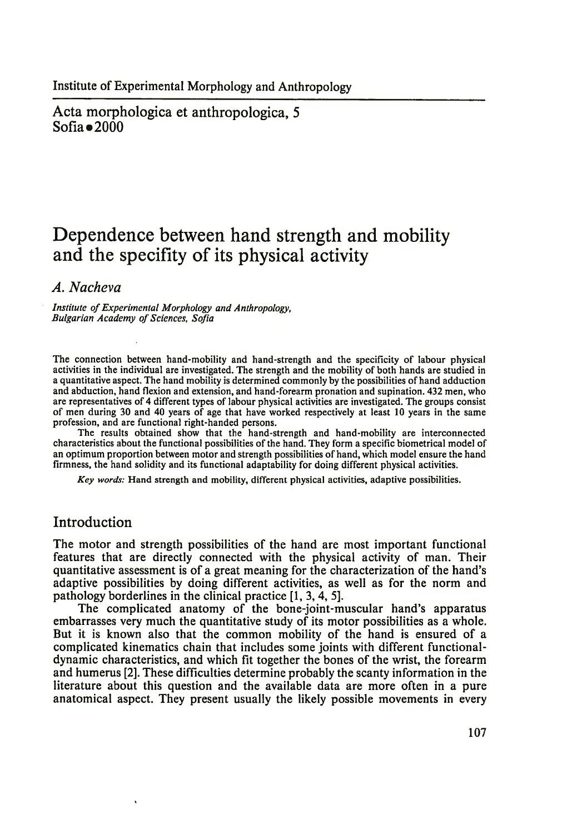Acta morphologica et anthropologica, 5  $Sofia = 2000$ 

# **Dependence between hand strength and mobility and the specifity of its physical activity**

## *A. Nacheva*

*Institute of Experimental Morphology and Anthropology, Bulgarian Academy of Sciences, Sofia*

The connection between hand-mobility and hand-strength and the specificity of labour physical activities in the individual are investigated. The strength and the mobility of both hands are studied in a quantitative aspect. The hand mobility is determined commonly by the possibilities of hand adduction and abduction, hand flexion and extension, and hand-forearm pronation and supination. 432 men, who are representatives of 4 different types of labour physical activities are investigated. The groups consist of men during 30 and 40 years of age that have worked respectively at least 10 years in the same profession, and are functional right-handed persons.

The results obtained show that the hand-strength and hand-mobility are interconnected characteristics about the functional possibilities of the hand. They form a specific biometrical model of an optimum proportion between motor and strength possibilities of hand, which model ensure the hand firmness, the hand solidity and its functional adaptability for doing different physical activities.

*Key words:* Hand strength and mobility, different physical activities, adaptive possibilities.

## Introduction

The motor and strength possibilities of the hand are most important functional features that are directly connected with the physical activity of man. Their quantitative assessment is of a great meaning for the characterization of the hand's adaptive possibilities by doing different activities, as well as for the norm and pathology borderlines in the clinical practice [1, 3, 4, 5].

The complicated anatomy of the bone-joint-muscular hand's apparatus embarrasses very much the quantitative study of its motor possibilities as a whole. But it is known also that the common mobility of the hand is ensured of a complicated kinematics chain that includes some joints with different functionaldynamic characteristics, and which fit together the bones of the wrist, the forearm and humerus [2]. These difficulties determine probably the scanty information in the literature about this question and the available data are more often in a pure anatomical aspect. They present usually the likely possible movements in every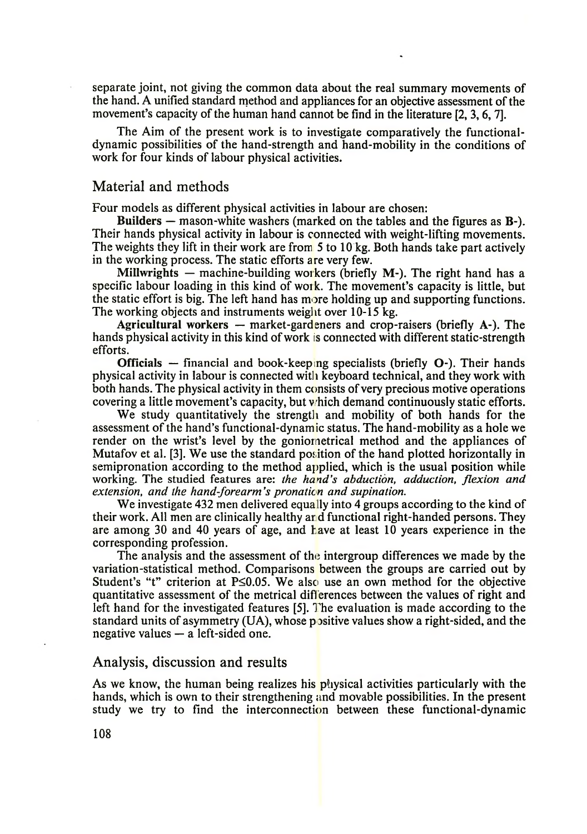separate joint, not giving the common data about the real summary movements of the hand. A unified standard method and appliances for an objective assessment of the movement's capacity of the human hand cannot be find in the literature [2, 3,6, 7].

The Aim of the present work is to investigate comparatively the functionaldynamic possibilities of the hand-strength and hand-mobility in the conditions of work for four kinds of labour physical activities.

### Material and methods

Four models as different physical activities in labour are chosen:

Builders — mason-white washers (marked on the tables and the figures as B-). Their hands physical activity in labour is connected with weight-lifting movements. The weights they lift in their work are from 5 to 10 kg. Both hands take part actively in the working process. The static efforts are very few.

Millwrights — machine-building workers (briefly M-). The right hand has a specific labour loading in this kind of work. The movement's capacity is little, but the static effort is big. The left hand has more holding up and supporting functions. The working objects and instruments weight over 10-15 kg.

Agricultural workers  $-$  market-gardeners and crop-raisers (briefly  $A<sub>-</sub>$ ). The hands physical activity in this kind of work is connected with different static-strength efforts.

Officials — financial and book-keeping specialists (briefly  $O$ -). Their hands physical activity in labour is connected with keyboard technical, and they work with both hands. The physical activity in them consists of very precious motive operations covering a little movement's capacity, but which demand continuously static efforts.

We study quantitatively the strength and mobility of both hands for the assessment of the hand's functional-dynamic status. The hand-mobility as a hole we render on the wrist's level by the goniometrical method and the appliances of Mutafov et al. [3]. We use the standard position of the hand plotted horizontally in semipronation according to the method applied, which is the usual position while working. The studied features are: *the hand's abduction, adduction, flexion and extension, and the hand-forearm's pronation and supination.* 

We investigate 432 men delivered equally into 4 groups according to the kind of their work. All men are clinically healthy ar d functional right-handed persons. They are among 30 and 40 years of age, and have at least 10 years experience in the corresponding profession.

The analysis and the assessment of the intergroup differences we made by the variation-statistical method. Comparisons between the groups are carried out by Student's "t" criterion at  $P\leq 0.05$ . We also use an own method for the objective quantitative assessment of the metrical differences between the values of right and left hand for the investigated features [5]. The evaluation is made according to the standard units of asymmetry  $(UA)$ , whose positive values show a right-sided, and the negative values — a left-sided one.

#### Analysis, discussion and results

As we know, the human being realizes his physical activities particularly with the hands, which is own to their strengthening and movable possibilities. In the present study we try to find the interconnection between these functional-dynamic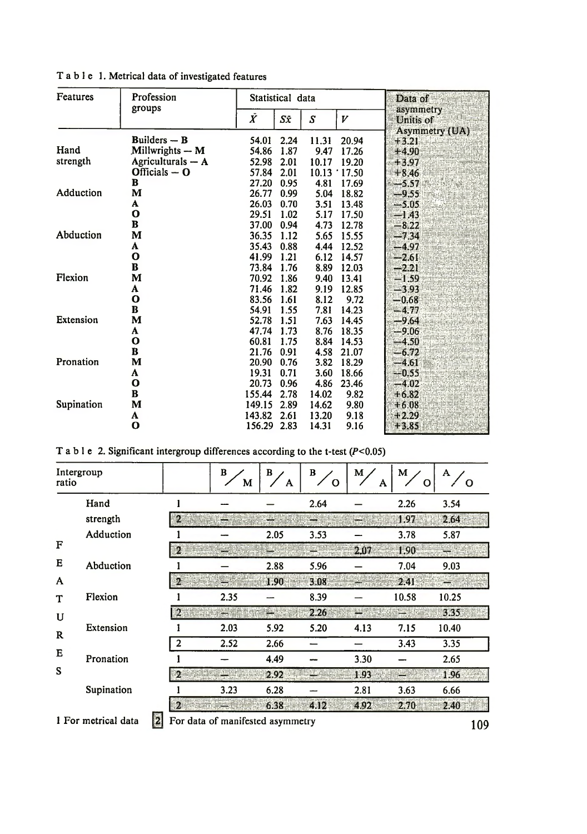| Features   | Profession          | Statistical data |      |       | Data of |                           |
|------------|---------------------|------------------|------|-------|---------|---------------------------|
|            | groups              | $\tilde{X}$      | Sī   | S     | V       | asymmetry<br>Unitis of    |
|            | Builders $-$ B      | 54.01            | 2.24 | 11.31 | 20.94   | Asymmetry (UA)<br>$+3.21$ |
| Hand       | Millwrights - M     | 54.86            | 1.87 | 9.47  | 17.26   | $+4.90$                   |
| strength   | Agriculturals $- A$ | 52.98            | 2.01 | 10.17 | 19.20   | $+3.97$                   |
|            | Officials $-$ O     | 57.84            | 2.01 | 10.13 | 17.50   | $+8.46$                   |
|            | в                   | 27.20            | 0.95 | 4.81  | 17.69   | $-5.57$                   |
| Adduction  | М                   | 26.77            | 0.99 | 5.04  | 18.82   | $-9.55$                   |
|            | A                   | 26.03            | 0.70 | 3.51  | 13.48   | $-5.05$                   |
|            | O                   | 29.51            | 1.02 | 5.17  | 17.50   | $-1.43$                   |
|            | B                   | 37.00            | 0.94 | 4.73  | 12.78   | $-8.22$                   |
| Abduction  | M                   | 36.35            | 1.12 | 5.65  | 15.55   | $-7.34$                   |
|            | A                   | 35.43            | 0.88 | 4.44  | 12.52   | $-4.97$                   |
|            | O                   | 41.99            | 1.21 | 6.12  | 14.57   | $-2.61$                   |
|            | B                   | 73.84            | 1.76 | 8.89  | 12.03   | $-2.21$                   |
| Flexion    | М                   | 70.92            | 1.86 | 9.40  | 13.41   | $-1.59$                   |
|            | A                   | 71.46            | 1.82 | 9.19  | 12.85   | $-3.93$                   |
|            | O                   | 83.56            | 1.61 | 8.12  | 9.72    | $-0.68$                   |
|            | B                   | 54.91            | 1.55 | 7.81  | 14.23   | $-4.77$                   |
| Extension  | М                   | 52.78            | 1.51 | 7.63  | 14.45   | $-9.64$                   |
|            | A                   | 47.74            | 1.73 | 8.76  | 18.35   | $-9.06$                   |
|            | O                   | 60.81            | 1.75 | 8.84  | 14.53   | $-4.50$                   |
|            | B                   | 21.76            | 0.91 | 4.58  | 21.07   | $-6.72$                   |
| Pronation  | М                   | 20.90            | 0.76 | 3.82  | 18.29   | $-4.61$                   |
|            | A                   | 19.31            | 0.71 | 3.60  | 18.66   | $-0.55$                   |
|            | О                   | 20.73            | 0.96 | 4.86  | 23.46   | $-4.02$                   |
|            | B                   | 155.44           | 2.78 | 14.02 | 9.82    | $+6.82$                   |
| Supination | M                   | 149.15           | 2.89 | 14.62 | 9.80    | $+6.08$                   |
|            | A                   | 143.82           | 2.61 | 13.20 | 9.18    | $+2.29$                   |
|            | О                   | 156.29           | 2.83 | 14.31 | 9.16    | $+3.85$                   |

T a b l e 1. Metrical data of investigated features

|  |  |  |  | T a b l e 2. Significant intergroup differences according to the t-test $(P<0.05)$ |  |  |
|--|--|--|--|------------------------------------------------------------------------------------|--|--|
|--|--|--|--|------------------------------------------------------------------------------------|--|--|

| Intergroup<br>ratio |                                                                     |  |                | B<br>M | В<br>A | в<br>O | M<br>A | M     | A     |
|---------------------|---------------------------------------------------------------------|--|----------------|--------|--------|--------|--------|-------|-------|
|                     | Hand                                                                |  |                |        |        | 2.64   |        | 2.26  | 3.54  |
|                     | strength                                                            |  | $\mathbf{2}$   |        |        |        |        | 1.97  | 2.64  |
|                     | Adduction                                                           |  |                |        | 2.05   | 3.53   |        | 3.78  | 5.87  |
| F                   |                                                                     |  | 2,             |        |        |        | 2.07   | 1.90  |       |
| E                   | Abduction                                                           |  |                |        | 2.88   | 5.96   |        | 7.04  | 9.03  |
| A                   |                                                                     |  | $\overline{2}$ |        | 1.90   | 3.08   |        | 2.41  |       |
| T                   | Flexion                                                             |  |                | 2.35   |        | 8.39   |        | 10.58 | 10.25 |
| U                   |                                                                     |  |                |        |        | 2.26   |        |       | 3.35  |
| $\mathbf R$         | Extension                                                           |  |                | 2.03   | 5.92   | 5.20   | 4.13   | 7.15  | 10.40 |
|                     |                                                                     |  | $\overline{2}$ | 2.52   | 2.66   |        |        | 3.43  | 3.35  |
| Е                   | Pronation                                                           |  |                |        | 4.49   |        | 3.30   |       | 2.65  |
| S                   |                                                                     |  | $\overline{2}$ |        | 2.92   |        | 1.93   |       | 1.96  |
|                     | Supination                                                          |  |                | 3.23   | 6.28   |        | 2.81   | 3.63  | 6.66  |
|                     |                                                                     |  | $\mathbf{z}$   |        | 6.38   | 4.12   | 4.92   | 2.70  | 2.40  |
|                     | Ø<br>1 For metrical data<br>For data of manifested asymmetry<br>109 |  |                |        |        |        |        |       |       |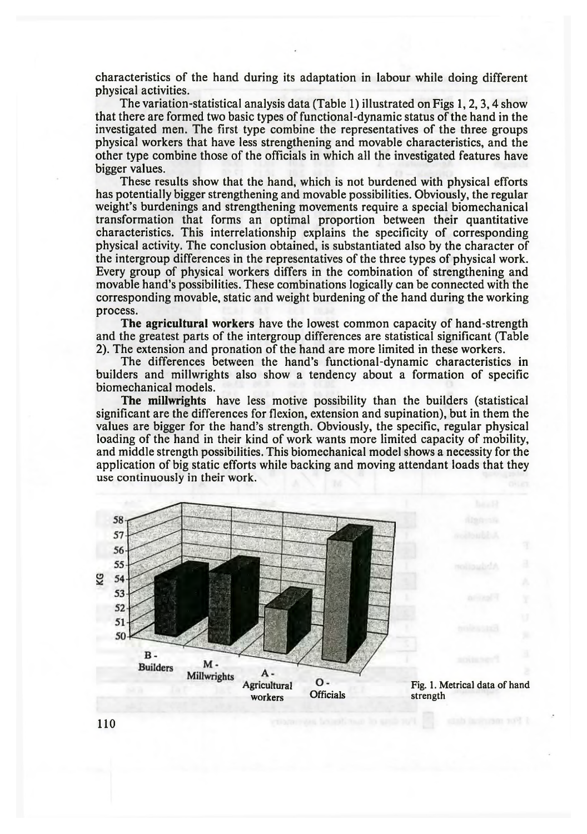characteristics of the hand during its adaptation in labour while doing different physical activities.

The variation-statistical analysis data (Table 1) illustrated on Figs 1,2,3,4 show that there are formed two basic types of functional-dynamic status of the hand in the investigated men. The first type combine the representatives of the three groups physical workers that have less strengthening and movable characteristics, and the other type combine those of the officials in which all the investigated features have bigger values.

These results show that the hand, which is not burdened with physical efforts has potentially bigger strengthening and movable possibilities. Obviously, the regular weight's burdenings and strengthening movements require a special biomechanical transformation that forms an optimal proportion between their quantitative characteristics. This interrelationship explains the specificity of corresponding physical activity. The conclusion obtained, is substantiated also by the character of the intergroup differences in the representatives of the three types of physical work. Every group of physical workers differs in the combination of strengthening and movable hand's possibilities. These combinations logically can be connected with the corresponding movable, static and weight burdening of the hand during the working process.

The agricultural workers have the lowest common capacity of hand-strength and the greatest parts of the intergroup differences are statistical significant (Table 2). The extension and pronation of the hand are more limited in these workers.

The differences between the hand's functional-dynamic characteristics in builders and millwrights also show a tendency about a formation of specific biomechanical models.

The millwrights have less motive possibility than the builders (statistical significant are the differences for flexion, extension and supination), but in them the values are bigger for the hand's strength. Obviously, the specific, regular physical loading of the hand in their kind of work wants more limited capacity of mobility, and middle strength possibilities. This biomechanical model shows a necessity for the application of big static efforts while backing and moving attendant loads that they use continuously in their work.



Fig. 1. Metrical data of hand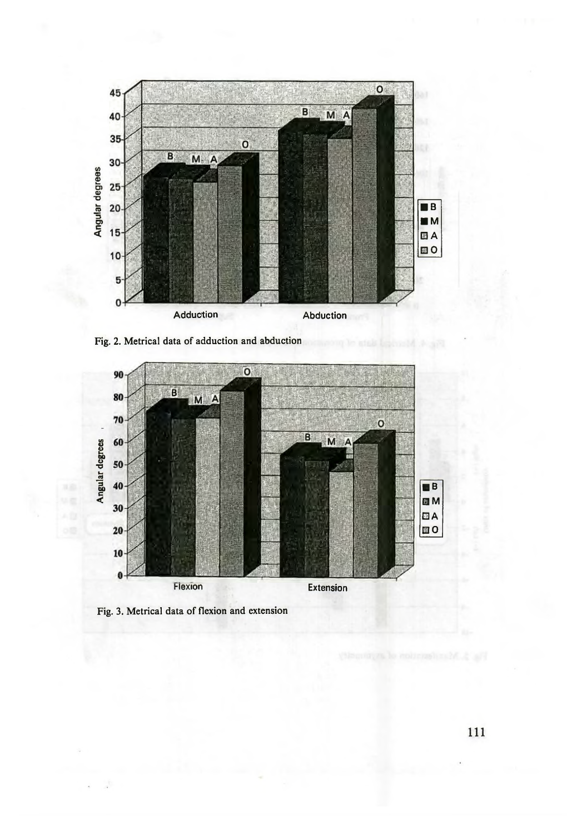





Fig. 3. Metrical data of flexion and extension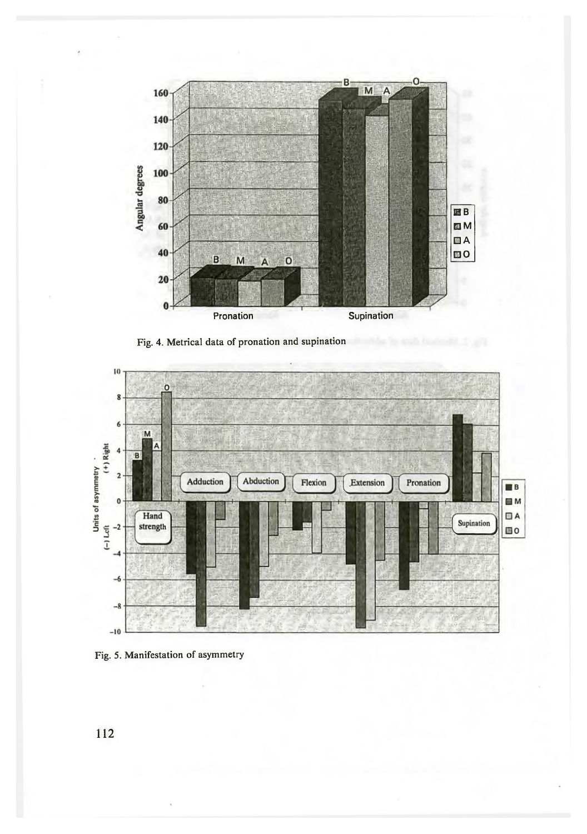

Fig. 4. Metrical data of pronation and supination



Fig. 5. Manifestation of asymmetry

112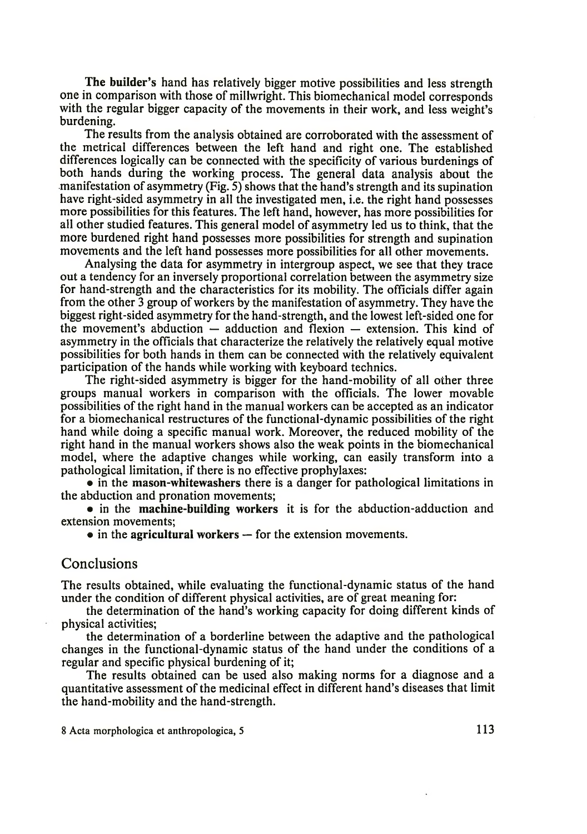The builder's hand has relatively bigger motive possibilities and less strength one in comparison with those of millwright. This biomechanical model corresponds with the regular bigger capacity of the movements in their work, and less weight's burdening.

The results from the analysis obtained are corroborated with the assessment of the metrical differences between the left hand and right one. The established differences logically can be connected with the specificity of various burdenings of both hands during the working process. The general data analysis about the manifestation of asymmetry (Fig. 5) shows that the hand's strength and its supination have right-sided asymmetry in all the investigated men, i.e. the right hand possesses more possibilities for this features. The left hand, however, has more possibilities for all other studied features. This general model of asymmetry led us to think, that the more burdened right hand possesses more possibilities for strength and supination movements and the left hand possesses more possibilities for all other movements.

Analysing the data for asymmetry in intergroup aspect, we see that they trace out a tendency for an inversely proportional correlation between the asymmetry size for hand-strength and the characteristics for its mobility. The officials differ again from the other 3 group of workers by the manifestation of asymmetry. They have the biggest right-sided asymmetry for the hand-strength, and the lowest left-sided one for the movement's abduction — adduction and flexion — extension. This kind of asymmetry in the officials that characterize the relatively the relatively equal motive possibilities for both hands in them can be connected with the relatively equivalent participation of the hands while working with keyboard technics.

The right-sided asymmetry is bigger for the hand-mobility of all other three groups manual workers in comparison with the officials. The lower movable possibilities of the right hand in the manual workers can be accepted as an indicator for a biomechanical restructures of the functional-dynamic possibilities of the right hand while doing a specific manual work. Moreover, the reduced mobility of the right hand in the manual workers shows also the weak points in the biomechanical model, where the adaptive changes while working, can easily transform into a pathological limitation, if there is no effective prophylaxes:

• in the mason-whitewashers there is a danger for pathological limitations in the abduction and pronation movements;

• in the machine-building workers it is for the abduction-adduction and extension movements;

• in the agricultural workers – for the extension movements.

#### Conclusions

The results obtained, while evaluating the functional-dynamic status of the hand under the condition of different physical activities, are of great meaning for:

the determination of the hand's working capacity for doing different kinds of physical activities;

the determination of a borderline between the adaptive and the pathological changes in the functional-dynamic status of the hand under the conditions of a regular and specific physical burdening of it;

The results obtained can be used also making norms for a diagnose and a quantitative assessment of the medicinal effect in different hand's diseases that limit the hand-mobility and the hand-strength.